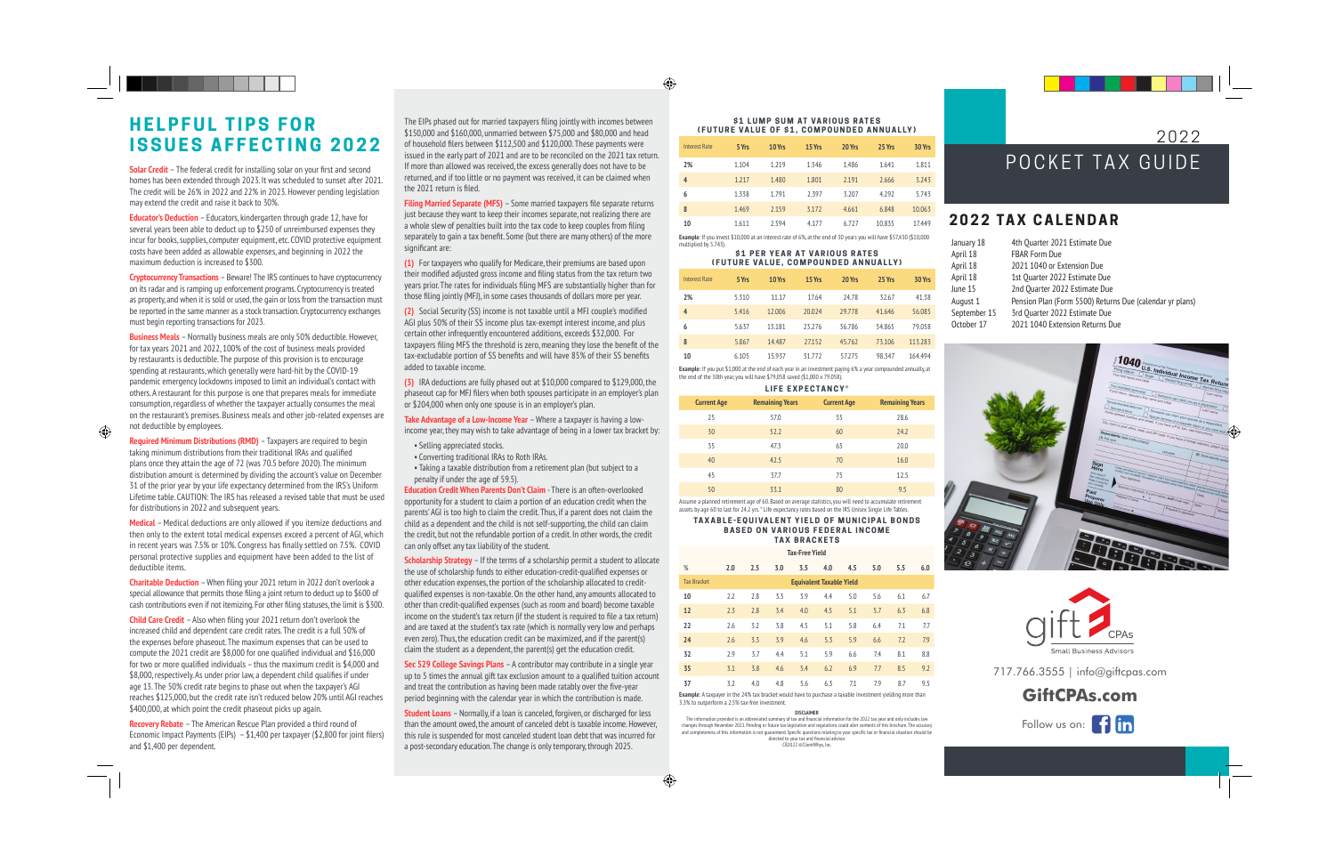# **HELPFUL TIPS FOR ISSUES AFFECTING 2022**

**Solar Credit** – The federal credit for installing solar on your first and second homes has been extended through 2023. It was scheduled to sunset after 2021. The credit will be 26% in 2022 and 22% in 2023. However pending legislation may extend the credit and raise it back to 30%.

**Educator's Deduction** – Educators, kindergarten through grade 12, have for several years been able to deduct up to \$250 of unreimbursed expenses they incur for books, supplies, computer equipment, etc. COVID protective equipment costs have been added as allowable expenses, and beginning in 2022 the maximum deduction is increased to \$300.

**Cryptocurrency Transactions** – Beware! The IRS continues to have cryptocurrency on its radar and is ramping up enforcement programs. Cryptocurrency is treated as property, and when it is sold or used, the gain or loss from the transaction must be reported in the same manner as a stock transaction. Cryptocurrency exchanges must begin reporting transactions for 2023.

**Business Meals** – Normally business meals are only 50% deductible. However, for tax years 2021 and 2022, 100% of the cost of business meals provided by restaurants is deductible. The purpose of this provision is to encourage spending at restaurants, which generally were hard-hit by the COVID-19 pandemic emergency lockdowns imposed to limit an individual's contact with others. A restaurant for this purpose is one that prepares meals for immediate consumption, regardless of whether the taxpayer actually consumes the meal on the restaurant's premises. Business meals and other job-related expenses are not deductible by employees.

**Required Minimum Distributions (RMD)** – Taxpayers are required to begin taking minimum distributions from their traditional IRAs and qualified plans once they attain the age of 72 (was 70.5 before 2020). The minimum distribution amount is determined by dividing the account's value on December 31 of the prior year by your life expectancy determined from the IRS's Uniform Lifetime table. CAUTION: The IRS has released a revised table that must be used for distributions in 2022 and subsequent years.

**Medical** – Medical deductions are only allowed if you itemize deductions and then only to the extent total medical expenses exceed a percent of AGI, which in recent years was 7.5% or 10%. Congress has finally settled on 7.5%. COVID personal protective supplies and equipment have been added to the list of deductible items.

**Charitable Deduction** – When filing your 2021 return in 2022 don't overlook a special allowance that permits those filing a joint return to deduct up to \$600 of cash contributions even if not itemizing. For other filing statuses, the limit is \$300.

**Child Care Credit** – Also when filing your 2021 return don't overlook the increased child and dependent care credit rates. The credit is a full 50% of the expenses before phaseout. The maximum expenses that can be used to compute the 2021 credit are \$8,000 for one qualified individual and \$16,000 for two or more qualified individuals – thus the maximum credit is \$4,000 and \$8,000, respectively. As under prior law, a dependent child qualifies if under age 13. The 50% credit rate begins to phase out when the taxpayer's AGI reaches \$125,000, but the credit rate isn't reduced below 20% until AGI reaches \$400,000, at which point the credit phaseout picks up again.

**Recovery Rebate** – The American Rescue Plan provided a third round of Economic Impact Payments (EIPs) – \$1,400 per taxpayer (\$2,800 for joint filers) and \$1,400 per dependent.

The EIPs phased out for married taxpayers filing jointly with incomes between \$150,000 and \$160,000, unmarried between \$75,000 and \$80,000 and head of household filers between \$112,500 and \$120,000. These payments were issued in the early part of 2021 and are to be reconciled on the 2021 tax return. If more than allowed was received, the excess generally does not have to be returned, and if too little or no payment was received, it can be claimed when the 2021 return is filed.

**Filing Married Separate (MFS)** – Some married taxpayers file separate returns just because they want to keep their incomes separate, not realizing there are a whole slew of penalties built into the tax code to keep couples from filing separately to gain a tax benefit. Some (but there are many others) of the more significant are:

**(1)** For taxpayers who qualify for Medicare, their premiums are based upon their modified adjusted gross income and filing status from the tax return two years prior. The rates for individuals filing MFS are substantially higher than for those filing jointly (MFJ), in some cases thousands of dollars more per year.

**(2)** Social Security (SS) income is not taxable until a MFJ couple's modified AGI plus 50% of their SS income plus tax-exempt interest income, and plus certain other infrequently encountered additions, exceeds \$32,000. For taxpayers filing MFS the threshold is zero, meaning they lose the benefit of the tax-excludable portion of SS benefits and will have 85% of their SS benefits added to taxable income.

**(3)** IRA deductions are fully phased out at \$10,000 compared to \$129,000, the phaseout cap for MFJ filers when both spouses participate in an employer's plan or \$204,000 when only one spouse is in an employer's plan.

**Take Advantage of a Low-Income Year** – Where a taxpayer is having a lowincome year, they may wish to take advantage of being in a lower tax bracket by:

- Selling appreciated stocks.
- Converting traditional IRAs to Roth IRAs.

• Taking a taxable distribution from a retirement plan (but subject to a penalty if under the age of 59.5).

**Education Credit When Parents Don't Claim** - There is an often-overlooked opportunity for a student to claim a portion of an education credit when the parents' AGI is too high to claim the credit. Thus, if a parent does not claim the child as a dependent and the child is not self-supporting, the child can claim the credit, but not the refundable portion of a credit. In other words, the credit can only offset any tax liability of the student.

**Scholarship Strategy** – If the terms of a scholarship permit a student to allocate the use of scholarship funds to either education-credit-qualified expenses or other education expenses, the portion of the scholarship allocated to creditqualified expenses is non-taxable. On the other hand, any amounts allocated to other than credit-qualified expenses (such as room and board) become taxable income on the student's tax return (if the student is required to file a tax return) income on the student's tax return (if the student is required to lite a tax return)<br>and are taxed at the student's tax rate (which is normally very low and perhaps<br>even zero). Thus, the education credit can be maximized, even zero). Thus, the education credit can be maximized, and if the parent(s) claim the student as a dependent, the parent(s) get the education credit. ther hand, any amounts allocated to **10** 2.2 2.8<br>Is room and board) become taxable<br>udent is required to file a tax return) **12** 2.3 2.8

**Sec 529 College Savings Plans** – A contributor may contribute in a single year **35**<br>up to 5 times the annual gift tax exclusion amount to a qualified tuition account up to 5 times the annual gift tax exclusion amount to a qualified tuition account and treat the contribution as having been made ratably over the five-year period beginning with the calendar year in which the contribution is made.

**Student Loans** - Normally, if a loan is canceled, forgiven, or discharged for less than the amount owed, the amount of canceled debt is taxable income. However, this rule is suspended for most canceled student loan debt that was incurred for a post-secondary education. The change is only temporary, through 2025.

#### **\$1 LUMP SUM AT VARIOUS RATES (FUTURE VALUE OF \$1, COMPOUNDED ANNUALLY)**

| <b>Interest Rate</b> | 5 Yrs | 10 Yrs | 15 Yrs | 20 Yrs | 25 Yrs | 30 Yrs |
|----------------------|-------|--------|--------|--------|--------|--------|
| 2%                   | 1.104 | 1.219  | 1.346  | 1.486  | 1.641  | 1.811  |
| 4                    | 1.217 | 1.480  | 1.801  | 2.191  | 2.666  | 3.243  |
| 6                    | 1.338 | 1.791  | 2.397  | 3.207  | 4.292  | 5.743  |
| 8                    | 1.469 | 2.159  | 3.172  | 4.661  | 6.848  | 10.063 |
| 10                   | 1.611 | 2.594  | 4.177  | 6.727  | 10.835 | 17.449 |
|                      |       |        |        |        |        |        |

**\$1 PER YEAR AT VARIOUS RATES Example**: If you invest \$10,000 at an interest rate of 6%, at the end of 30 years you will have \$57,430 (\$10,000 multiplied by 5.743).

## **(FUTURE VALUE, COMPOUNDED ANNUALLY)**

| <b>Interest Rate</b> | 5 Yrs | 10 Yrs | 15 Yrs | 20 Yrs | 25 Yrs | 30 Yrs  |
|----------------------|-------|--------|--------|--------|--------|---------|
| 2%                   | 5.310 | 11.17  | 17.64  | 24.78  | 32.67  | 41.38   |
| $\overline{4}$       | 5.416 | 12.006 | 20.024 | 29.778 | 41.646 | 56.085  |
| 6                    | 5.637 | 13.181 | 23.276 | 36.786 | 54.865 | 79.058  |
| 8                    | 5.867 | 14.487 | 27.152 | 45.762 | 73.106 | 113.283 |
| 10                   | 6.105 | 15.937 | 31.772 | 57.275 | 98.347 | 164.494 |

**Example:** If you put \$1,000 at the end of each year in an investment paying 6% a year compounded annually, at the end of the 30th year, you will have \$79,058 saved (\$1,000 x 79.058).

| LIFE EXPECTANCY*   |                        |                    |                        |  |  |
|--------------------|------------------------|--------------------|------------------------|--|--|
| <b>Current Age</b> | <b>Remaining Years</b> | <b>Current Age</b> | <b>Remaining Years</b> |  |  |
| 25                 | 57.0                   | 55                 | 28.6                   |  |  |
| 30                 | 52.2                   | 60                 | 24.2                   |  |  |
| 35                 | 47.3                   | 65                 | 20.0                   |  |  |
| 40                 | 42.5                   | 70                 | 16.0                   |  |  |
| 45                 | 37.7                   | 75                 | 12.5                   |  |  |
| 50                 | 33.1                   | 80                 | 9.5                    |  |  |

**Example 2** all a particular that the returns of a based on average statistics, you will need to accumulate retirement<br>by age 60 to last for 24.2 yrs. " Life expectancy rates based on the IRS Unisex Single Life Tables.<br>**TA** Assume a planned retirement age of 60. Based on average statistics, you will need to accumulate retirement assets by age 60 to last for 24.2 yrs. \* Life expectancy rates based on the IRS Unisex Single Life Tables. **Response to any tax notices** 

**BASED ON VARIOUS FEDERAL INCOME TAX BRACKETS** regardless of the event that generated **Tax-Free Yield** 

| %                  | 2.0 | 2.5 | 3.0 | 3.5 | 4.0                             | 4.5 | 5.0 | 5.5 | 6.0 |
|--------------------|-----|-----|-----|-----|---------------------------------|-----|-----|-----|-----|
| <b>Tax Bracket</b> |     |     |     |     | <b>Equivalent Taxable Yield</b> |     |     |     |     |
| 10                 | 2.2 | 2.8 | 3.3 | 3.9 | 4.4                             | 5.0 | 5.6 | 6.1 | 6.7 |
| 12                 | 2.3 | 2.8 | 3.4 | 4.0 | 4.5                             | 5.1 | 5.7 | 6.3 | 6.8 |
| 22                 | 2.6 | 3.2 | 3.8 | 4.5 | 5.1                             | 5.8 | 6.4 | 7.1 | 7.7 |
| 24                 | 2.6 | 3.3 | 3.9 | 4.6 | 5.3                             | 5.9 | 6.6 | 7.2 | 7.9 |
| 32                 | 2.9 | 3.7 | 4.4 | 5.1 | 5.9                             | 6.6 | 7.4 | 8.1 | 8.8 |
| 35                 | 3.1 | 3.8 | 4.6 | 5.4 | 6.2                             | 6.9 | 7.7 | 8.5 | 9.2 |
| 37                 | 3.2 | 4.0 | 4.8 | 5.6 | 6.3                             | 7.1 | 7.9 | 8.7 | 9.5 |
|                    |     |     |     |     |                                 |     |     |     |     |

**Example**: A taxpayer in the 24% tax bracket would have to purchase a taxable investment yielding more than 3.3% to outperform a 2.5% tax-free investment.  $T$  ment. aving been made ratably over the five-year<br>
PLAN FOLD COLLECT CONTROLLECT CONTROLLECT CONTROLLECT CONTROLLECT CONTROLLECT CONTROLLECT CONTROLLECT CONTROLLECT CONTROLLECT CONTROLLECT CONTROLLECT CONTROLLECT CONTROLLECT CONT

#### **DISCLAIMER**

rus tark information provided is an abbreviated summary of tax and financial information for the 2022 tax year and only includes law حساس المعاملة changes through November 2021. Pending or future tax legislation and regulations could alter contents of this brochure. The accuracy cnanges tnrougn november 2021. Pending or future tax legislation and regulations could alter contents of this orochure. The accuracy<br>and completeness of this information is not guaranteed. Specific questions relating to yo directed to your tax and financial advisor

CB2022 ©ClientWhys, Inc.

# POCKET TAX GUIDE

2022

## **2022 TAX CALENDAR**

April

| January 18   | 4th Ouarter 2021 Estimate Due                            |
|--------------|----------------------------------------------------------|
| April 18     | <b>FBAR Form Due</b>                                     |
| April 18     | 2021 1040 or Extension Due                               |
| April 18     | 1st Ouarter 2022 Estimate Due                            |
| June 15      | 2nd Ouarter 2022 Estimate Due                            |
| August 1     | Pension Plan (Form 5500) Returns Due (calendar yr plans) |
| September 15 | 3rd Ouarter 2022 Estimate Due                            |
| October 17   | 2021 1040 Extension Returns Due                          |
|              |                                                          |





717.766.3555 | info@giftcpas.com